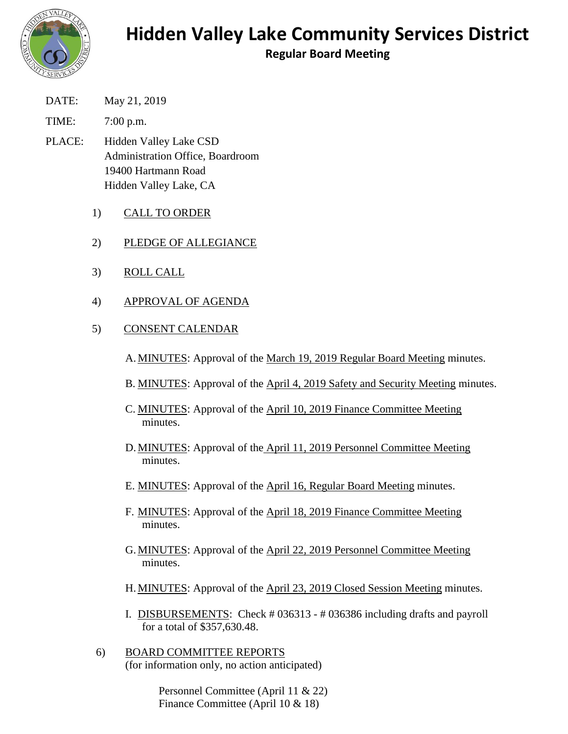

## **Hidden Valley Lake Community Services District**

**Regular Board Meeting**

DATE: May 21, 2019

TIME: 7:00 p.m.

- PLACE: Hidden Valley Lake CSD Administration Office, Boardroom 19400 Hartmann Road Hidden Valley Lake, CA
	- 1) CALL TO ORDER
	- 2) PLEDGE OF ALLEGIANCE
	- 3) ROLL CALL
	- 4) APPROVAL OF AGENDA
	- 5) CONSENT CALENDAR
		- A. MINUTES: Approval of the March 19, 2019 Regular Board Meeting minutes.
		- B. MINUTES: Approval of the April 4, 2019 Safety and Security Meeting minutes.
		- C. MINUTES: Approval of the April 10, 2019 Finance Committee Meeting minutes.
		- D. MINUTES: Approval of the April 11, 2019 Personnel Committee Meeting minutes.
		- E. MINUTES: Approval of the April 16, Regular Board Meeting minutes.
		- F. MINUTES: Approval of the April 18, 2019 Finance Committee Meeting minutes.
		- G. MINUTES: Approval of the April 22, 2019 Personnel Committee Meeting minutes.
		- H. MINUTES: Approval of the April 23, 2019 Closed Session Meeting minutes.
		- I. DISBURSEMENTS: Check # 036313 # 036386 including drafts and payroll for a total of \$357,630.48.
	- 6) BOARD COMMITTEE REPORTS (for information only, no action anticipated)

Personnel Committee (April 11 & 22) Finance Committee (April 10 & 18)